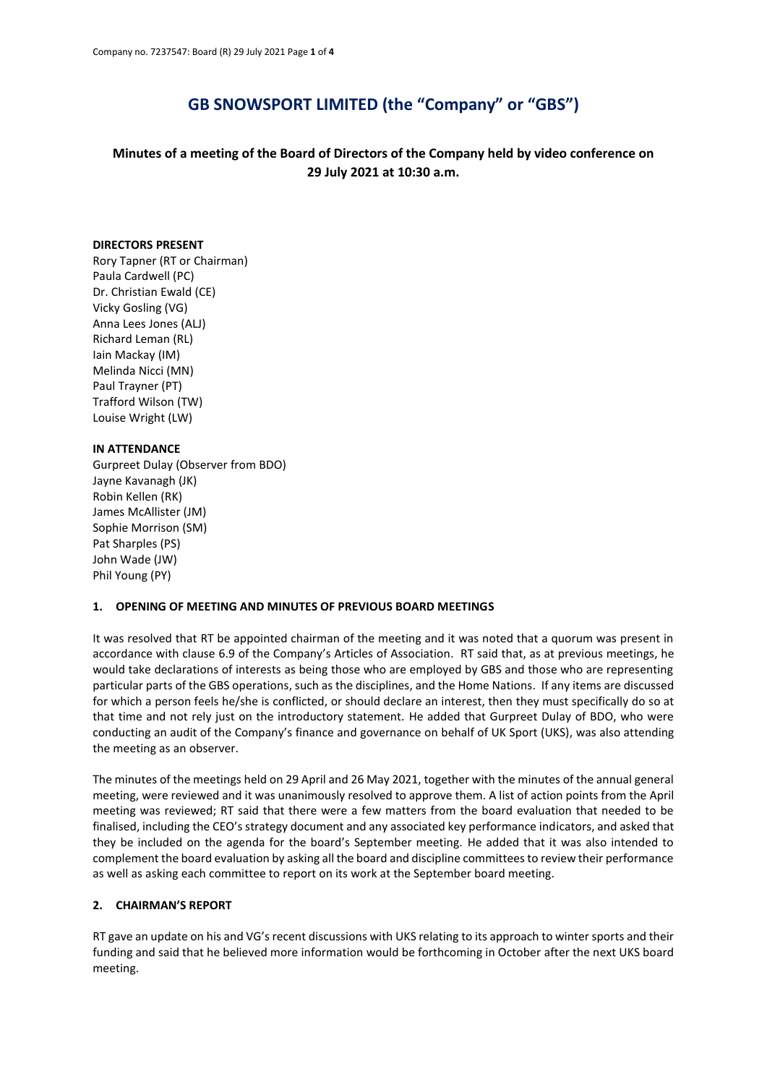# **GB SNOWSPORT LIMITED (the "Company" or "GBS")**

# **Minutes of a meeting of the Board of Directors of the Company held by video conference on 29 July 2021 at 10:30 a.m.**

#### **DIRECTORS PRESENT**

Rory Tapner (RT or Chairman) Paula Cardwell (PC) Dr. Christian Ewald (CE) Vicky Gosling (VG) Anna Lees Jones (ALJ) Richard Leman (RL) Iain Mackay (IM) Melinda Nicci (MN) Paul Trayner (PT) Trafford Wilson (TW) Louise Wright (LW)

#### **IN ATTENDANCE**

Gurpreet Dulay (Observer from BDO) Jayne Kavanagh (JK) Robin Kellen (RK) James McAllister (JM) Sophie Morrison (SM) Pat Sharples (PS) John Wade (JW) Phil Young (PY)

#### **1. OPENING OF MEETING AND MINUTES OF PREVIOUS BOARD MEETINGS**

It was resolved that RT be appointed chairman of the meeting and it was noted that a quorum was present in accordance with clause 6.9 of the Company's Articles of Association. RT said that, as at previous meetings, he would take declarations of interests as being those who are employed by GBS and those who are representing particular parts of the GBS operations, such as the disciplines, and the Home Nations. If any items are discussed for which a person feels he/she is conflicted, or should declare an interest, then they must specifically do so at that time and not rely just on the introductory statement. He added that Gurpreet Dulay of BDO, who were conducting an audit of the Company's finance and governance on behalf of UK Sport (UKS), was also attending the meeting as an observer.

The minutes of the meetings held on 29 April and 26 May 2021, together with the minutes of the annual general meeting, were reviewed and it was unanimously resolved to approve them. A list of action points from the April meeting was reviewed; RT said that there were a few matters from the board evaluation that needed to be finalised, including the CEO's strategy document and any associated key performance indicators, and asked that they be included on the agenda for the board's September meeting. He added that it was also intended to complement the board evaluation by asking all the board and discipline committees to review their performance as well as asking each committee to report on its work at the September board meeting.

#### **2. CHAIRMAN'S REPORT**

RT gave an update on his and VG's recent discussions with UKS relating to its approach to winter sports and their funding and said that he believed more information would be forthcoming in October after the next UKS board meeting.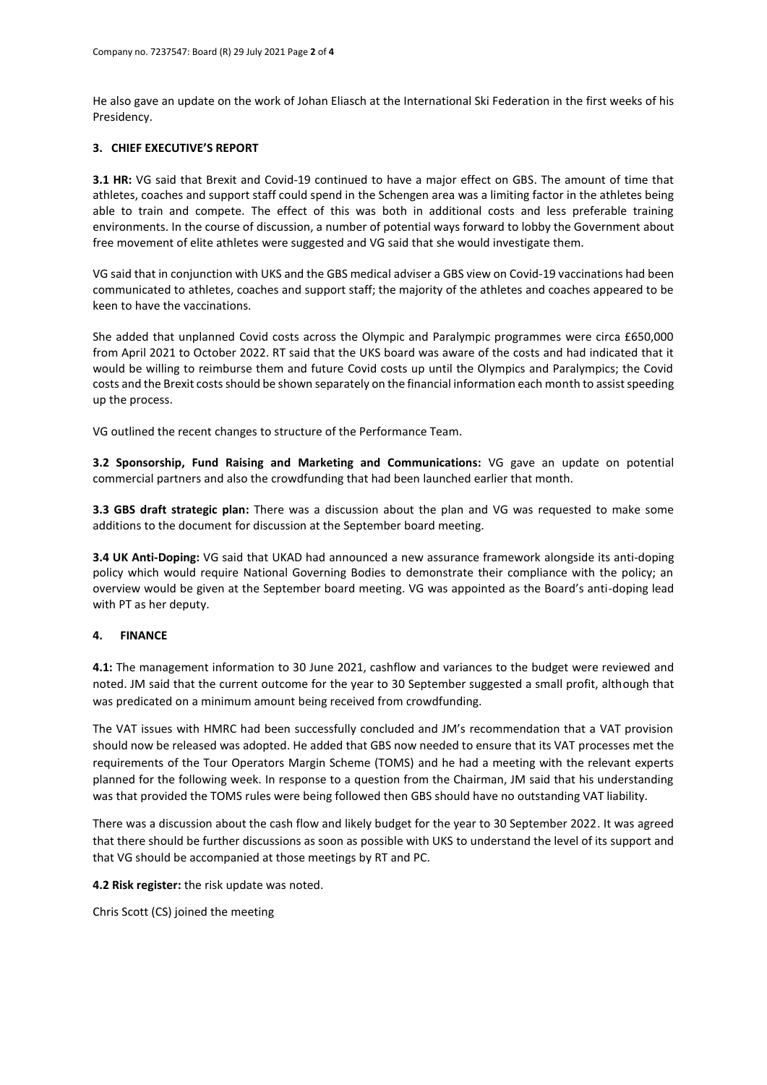He also gave an update on the work of Johan Eliasch at the International Ski Federation in the first weeks of his Presidency.

## **3. CHIEF EXECUTIVE'S REPORT**

**3.1 HR:** VG said that Brexit and Covid-19 continued to have a major effect on GBS. The amount of time that athletes, coaches and support staff could spend in the Schengen area was a limiting factor in the athletes being able to train and compete. The effect of this was both in additional costs and less preferable training environments. In the course of discussion, a number of potential ways forward to lobby the Government about free movement of elite athletes were suggested and VG said that she would investigate them.

VG said that in conjunction with UKS and the GBS medical adviser a GBS view on Covid-19 vaccinations had been communicated to athletes, coaches and support staff; the majority of the athletes and coaches appeared to be keen to have the vaccinations.

She added that unplanned Covid costs across the Olympic and Paralympic programmes were circa £650,000 from April 2021 to October 2022. RT said that the UKS board was aware of the costs and had indicated that it would be willing to reimburse them and future Covid costs up until the Olympics and Paralympics; the Covid costs and the Brexit costs should be shown separately on the financial information each month to assist speeding up the process.

VG outlined the recent changes to structure of the Performance Team.

**3.2 Sponsorship, Fund Raising and Marketing and Communications:** VG gave an update on potential commercial partners and also the crowdfunding that had been launched earlier that month.

**3.3 GBS draft strategic plan:** There was a discussion about the plan and VG was requested to make some additions to the document for discussion at the September board meeting.

**3.4 UK Anti-Doping:** VG said that UKAD had announced a new assurance framework alongside its anti-doping policy which would require National Governing Bodies to demonstrate their compliance with the policy; an overview would be given at the September board meeting. VG was appointed as the Board's anti-doping lead with PT as her deputy.

#### **4. FINANCE**

**4.1:** The management information to 30 June 2021, cashflow and variances to the budget were reviewed and noted. JM said that the current outcome for the year to 30 September suggested a small profit, although that was predicated on a minimum amount being received from crowdfunding.

The VAT issues with HMRC had been successfully concluded and JM's recommendation that a VAT provision should now be released was adopted. He added that GBS now needed to ensure that its VAT processes met the requirements of the Tour Operators Margin Scheme (TOMS) and he had a meeting with the relevant experts planned for the following week. In response to a question from the Chairman, JM said that his understanding was that provided the TOMS rules were being followed then GBS should have no outstanding VAT liability.

There was a discussion about the cash flow and likely budget for the year to 30 September 2022. It was agreed that there should be further discussions as soon as possible with UKS to understand the level of its support and that VG should be accompanied at those meetings by RT and PC.

**4.2 Risk register:** the risk update was noted.

Chris Scott (CS) joined the meeting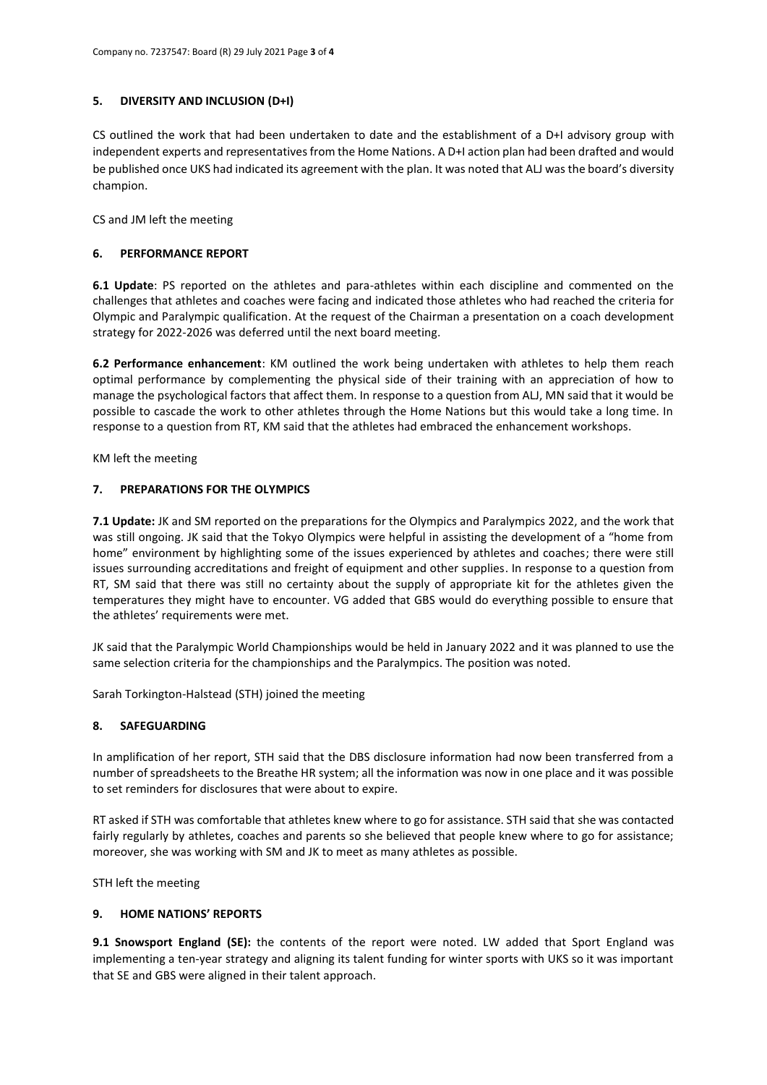# **5. DIVERSITY AND INCLUSION (D+I)**

CS outlined the work that had been undertaken to date and the establishment of a D+I advisory group with independent experts and representatives from the Home Nations. A D+I action plan had been drafted and would be published once UKS had indicated its agreement with the plan. It was noted that ALJ was the board's diversity champion.

CS and JM left the meeting

# **6. PERFORMANCE REPORT**

**6.1 Update**: PS reported on the athletes and para-athletes within each discipline and commented on the challenges that athletes and coaches were facing and indicated those athletes who had reached the criteria for Olympic and Paralympic qualification. At the request of the Chairman a presentation on a coach development strategy for 2022-2026 was deferred until the next board meeting.

**6.2 Performance enhancement**: KM outlined the work being undertaken with athletes to help them reach optimal performance by complementing the physical side of their training with an appreciation of how to manage the psychological factors that affect them. In response to a question from ALJ, MN said that it would be possible to cascade the work to other athletes through the Home Nations but this would take a long time. In response to a question from RT, KM said that the athletes had embraced the enhancement workshops.

KM left the meeting

# **7. PREPARATIONS FOR THE OLYMPICS**

**7.1 Update:** JK and SM reported on the preparations for the Olympics and Paralympics 2022, and the work that was still ongoing. JK said that the Tokyo Olympics were helpful in assisting the development of a "home from home" environment by highlighting some of the issues experienced by athletes and coaches; there were still issues surrounding accreditations and freight of equipment and other supplies. In response to a question from RT, SM said that there was still no certainty about the supply of appropriate kit for the athletes given the temperatures they might have to encounter. VG added that GBS would do everything possible to ensure that the athletes' requirements were met.

JK said that the Paralympic World Championships would be held in January 2022 and it was planned to use the same selection criteria for the championships and the Paralympics. The position was noted.

Sarah Torkington-Halstead (STH) joined the meeting

#### **8. SAFEGUARDING**

In amplification of her report, STH said that the DBS disclosure information had now been transferred from a number of spreadsheets to the Breathe HR system; all the information was now in one place and it was possible to set reminders for disclosures that were about to expire.

RT asked if STH was comfortable that athletes knew where to go for assistance. STH said that she was contacted fairly regularly by athletes, coaches and parents so she believed that people knew where to go for assistance; moreover, she was working with SM and JK to meet as many athletes as possible.

STH left the meeting

#### **9. HOME NATIONS' REPORTS**

**9.1 Snowsport England (SE):** the contents of the report were noted. LW added that Sport England was implementing a ten-year strategy and aligning its talent funding for winter sports with UKS so it was important that SE and GBS were aligned in their talent approach.